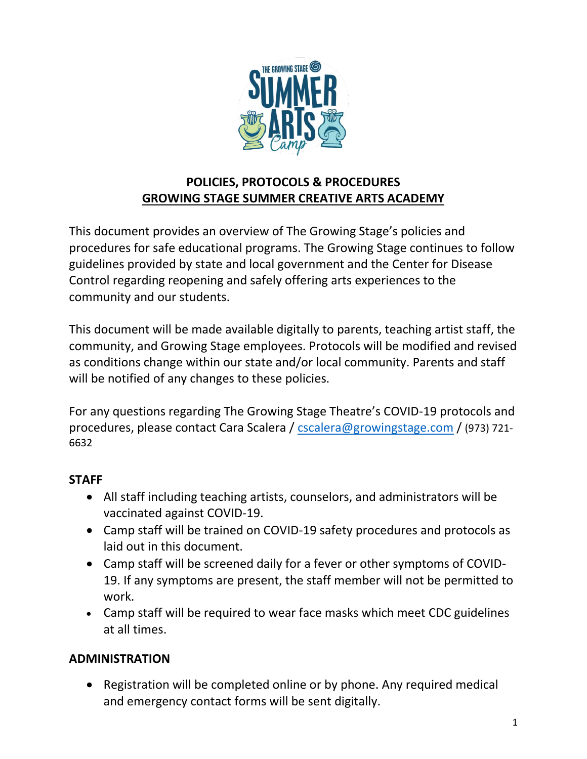

# **POLICIES, PROTOCOLS & PROCEDURES GROWING STAGE SUMMER CREATIVE ARTS ACADEMY**

This document provides an overview of The Growing Stage's policies and procedures for safe educational programs. The Growing Stage continues to follow guidelines provided by state and local government and the Center for Disease Control regarding reopening and safely offering arts experiences to the community and our students.

This document will be made available digitally to parents, teaching artist staff, the community, and Growing Stage employees. Protocols will be modified and revised as conditions change within our state and/or local community. Parents and staff will be notified of any changes to these policies.

For any questions regarding The Growing Stage Theatre's COVID-19 protocols and procedures, please contact Cara Scalera / [cscalera@growingstage.com](mailto:cscalera@growingstage.com) / (973) 721- 6632

## **STAFF**

- All staff including teaching artists, counselors, and administrators will be vaccinated against COVID-19.
- Camp staff will be trained on COVID-19 safety procedures and protocols as laid out in this document.
- Camp staff will be screened daily for a fever or other symptoms of COVID-19. If any symptoms are present, the staff member will not be permitted to work.
- Camp staff will be required to wear face masks which meet CDC guidelines at all times.

# **ADMINISTRATION**

• Registration will be completed online or by phone. Any required medical and emergency contact forms will be sent digitally.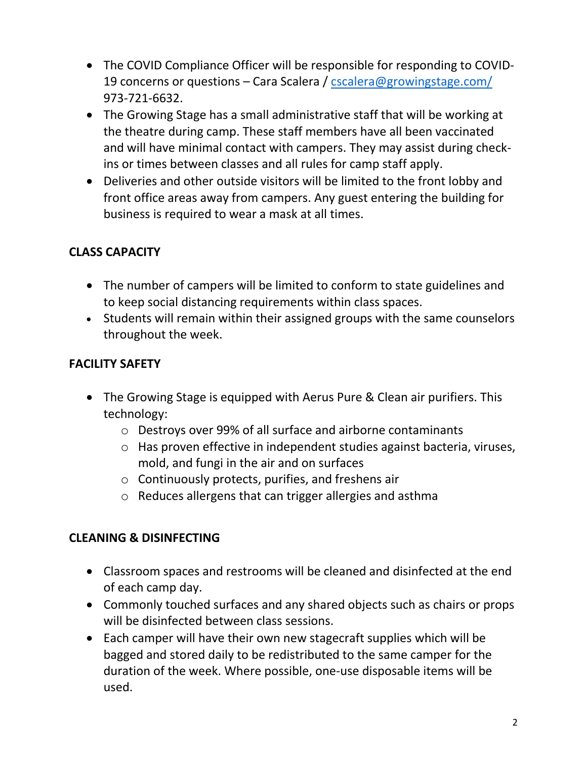- The COVID Compliance Officer will be responsible for responding to COVID19 concerns or questions – Cara Scalera / [cscalera@growingstage.com/](mailto:cscalera@growingstage.com/) 973-721-6632.
- The Growing Stage has a small administrative staff that will be working at the theatre during camp. These staff members have all been vaccinated and will have minimal contact with campers. They may assist during checkins or times between classes and all rules for camp staff apply.
- Deliveries and other outside visitors will be limited to the front lobby and front office areas away from campers. Any guest entering the building for business is required to wear a mask at all times.

# **CLASS CAPACITY**

- The number of campers will be limited to conform to state guidelines and to keep social distancing requirements within class spaces.
- Students will remain within their assigned groups with the same counselors throughout the week.

## **FACILITY SAFETY**

- The Growing Stage is equipped with Aerus Pure & Clean air purifiers. This technology:
	- o Destroys over 99% of all surface and airborne contaminants
	- o Has proven effective in independent studies against bacteria, viruses, mold, and fungi in the air and on surfaces
	- o Continuously protects, purifies, and freshens air
	- o Reduces allergens that can trigger allergies and asthma

## **CLEANING & DISINFECTING**

- Classroom spaces and restrooms will be cleaned and disinfected at the end of each camp day.
- Commonly touched surfaces and any shared objects such as chairs or props will be disinfected between class sessions.
- Each camper will have their own new stagecraft supplies which will be bagged and stored daily to be redistributed to the same camper for the duration of the week. Where possible, one-use disposable items will be used.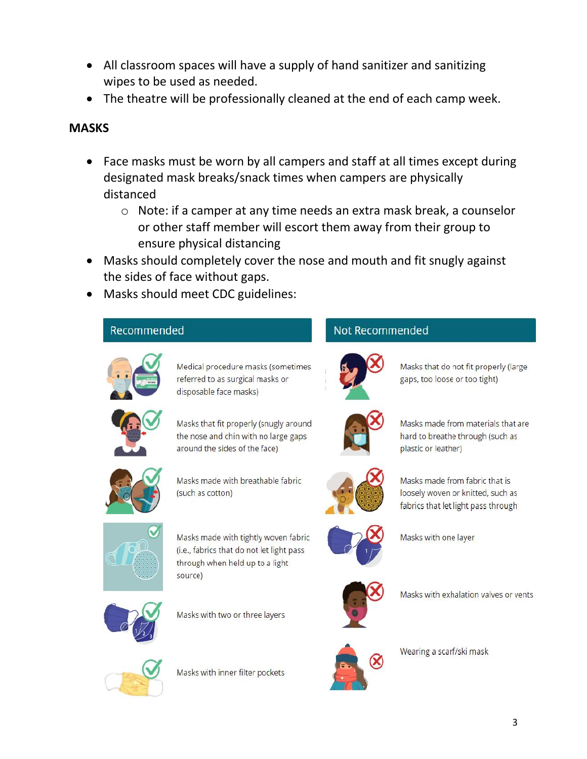- All classroom spaces will have a supply of hand sanitizer and sanitizing wipes to be used as needed.
- The theatre will be professionally cleaned at the end of each camp week.

#### **MASKS**

- Face masks must be worn by all campers and staff at all times except during designated mask breaks/snack times when campers are physically distanced
	- o Note: if a camper at any time needs an extra mask break, a counselor or other staff member will escort them away from their group to ensure physical distancing
- Masks should completely cover the nose and mouth and fit snugly against the sides of face without gaps.
- Masks should meet CDC guidelines:

#### Recommended



Medical procedure masks (sometimes referred to as surgical masks or disposable face masks)

Masks that fit properly (snugly around the nose and chin with no large gaps around the sides of the face)



Masks made with breathable fabric (such as cotton)



Masks made with tightly woven fabric (i.e., fabrics that do not let light pass through when held up to a light source)



Masks with two or three layers



Masks with inner filter pockets

# Not Recommended



Masks that do not fit properly (large gaps, too loose or too tight)



Masks made from materials that are hard to breathe through (such as plastic or leather)



Masks made from fabric that is loosely woven or knitted, such as fabrics that let light pass through



Masks with one layer



Masks with exhalation valves or vents



Wearing a scarf/ski mask



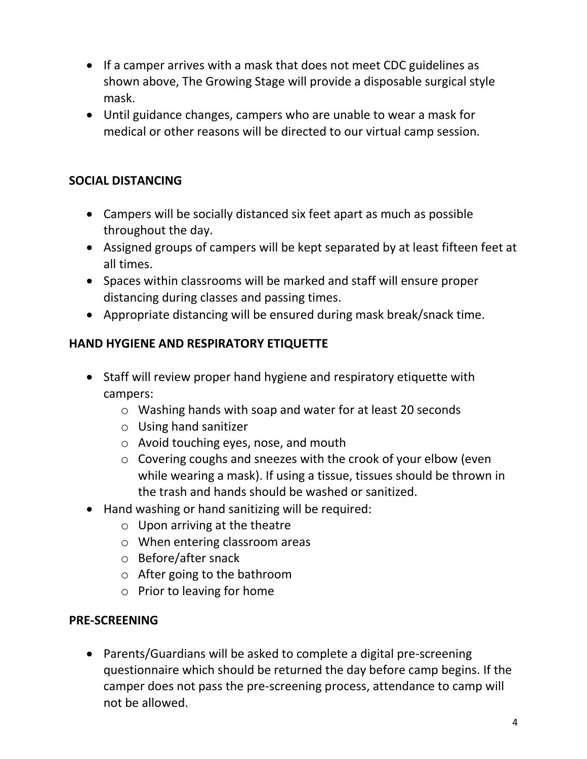- If a camper arrives with a mask that does not meet CDC guidelines as shown above, The Growing Stage will provide a disposable surgical style mask.
- Until guidance changes, campers who are unable to wear a mask for medical or other reasons will be directed to our virtual camp session.

## **SOCIAL DISTANCING**

- Campers will be socially distanced six feet apart as much as possible throughout the day.
- Assigned groups of campers will be kept separated by at least fifteen feet at all times.
- Spaces within classrooms will be marked and staff will ensure proper distancing during classes and passing times.
- Appropriate distancing will be ensured during mask break/snack time.

## **HAND HYGIENE AND RESPIRATORY ETIQUETTE**

- Staff will review proper hand hygiene and respiratory etiquette with campers:
	- o Washing hands with soap and water for at least 20 seconds
	- o Using hand sanitizer
	- o Avoid touching eyes, nose, and mouth
	- o Covering coughs and sneezes with the crook of your elbow (even while wearing a mask). If using a tissue, tissues should be thrown in the trash and hands should be washed or sanitized.
- Hand washing or hand sanitizing will be required:
	- o Upon arriving at the theatre
	- o When entering classroom areas
	- o Before/after snack
	- o After going to the bathroom
	- o Prior to leaving for home

#### **PRE-SCREENING**

 Parents/Guardians will be asked to complete a digital pre-screening questionnaire which should be returned the day before camp begins. If the camper does not pass the pre-screening process, attendance to camp will not be allowed.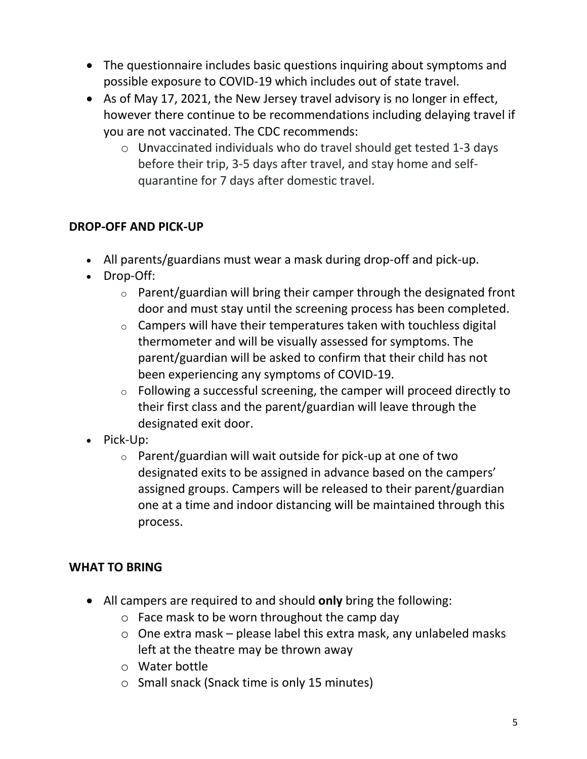- The questionnaire includes basic questions inquiring about symptoms and possible exposure to COVID-19 which includes out of state travel.
- As of May 17, 2021, the New Jersey travel advisory is no longer in effect, however there continue to be recommendations including delaying travel if you are not vaccinated. The CDC recommends:
	- o Unvaccinated individuals who do travel should get tested 1-3 days before their trip, 3-5 days after travel, and stay home and selfquarantine for 7 days after domestic travel.

## **DROP-OFF AND PICK-UP**

- All parents/guardians must wear a mask during drop-off and pick-up.
- Drop-Off:
	- $\circ$  Parent/guardian will bring their camper through the designated front door and must stay until the screening process has been completed.
	- $\circ$  Campers will have their temperatures taken with touchless digital thermometer and will be visually assessed for symptoms. The parent/guardian will be asked to confirm that their child has not been experiencing any symptoms of COVID-19.
	- o Following a successful screening, the camper will proceed directly to their first class and the parent/guardian will leave through the designated exit door.
- Pick-Up:
	- $\circ$  Parent/guardian will wait outside for pick-up at one of two designated exits to be assigned in advance based on the campers' assigned groups. Campers will be released to their parent/guardian one at a time and indoor distancing will be maintained through this process.

#### **WHAT TO BRING**

- All campers are required to and should **only** bring the following:
	- $\circ$  Face mask to be worn throughout the camp day
	- o One extra mask please label this extra mask, any unlabeled masks left at the theatre may be thrown away
	- o Water bottle
	- o Small snack (Snack time is only 15 minutes)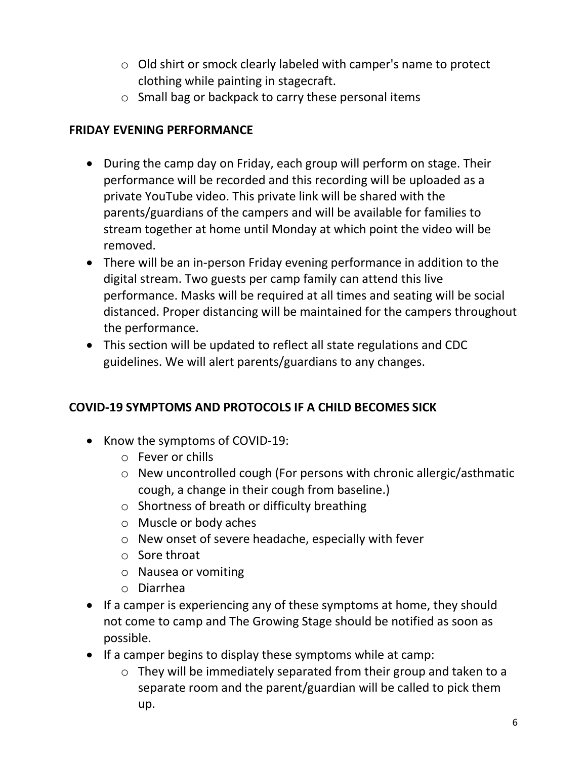- o Old shirt or smock clearly labeled with camper's name to protect clothing while painting in stagecraft.
- o Small bag or backpack to carry these personal items

#### **FRIDAY EVENING PERFORMANCE**

- During the camp day on Friday, each group will perform on stage. Their performance will be recorded and this recording will be uploaded as a private YouTube video. This private link will be shared with the parents/guardians of the campers and will be available for families to stream together at home until Monday at which point the video will be removed.
- There will be an in-person Friday evening performance in addition to the digital stream. Two guests per camp family can attend this live performance. Masks will be required at all times and seating will be social distanced. Proper distancing will be maintained for the campers throughout the performance.
- This section will be updated to reflect all state regulations and CDC guidelines. We will alert parents/guardians to any changes.

# **COVID-19 SYMPTOMS AND PROTOCOLS IF A CHILD BECOMES SICK**

- Know the symptoms of COVID-19:
	- o Fever or chills
	- o New uncontrolled cough (For persons with chronic allergic/asthmatic cough, a change in their cough from baseline.)
	- o Shortness of breath or difficulty breathing
	- o Muscle or body aches
	- o New onset of severe headache, especially with fever
	- o Sore throat
	- o Nausea or vomiting
	- o Diarrhea
- If a camper is experiencing any of these symptoms at home, they should not come to camp and The Growing Stage should be notified as soon as possible.
- If a camper begins to display these symptoms while at camp:
	- o They will be immediately separated from their group and taken to a separate room and the parent/guardian will be called to pick them up.